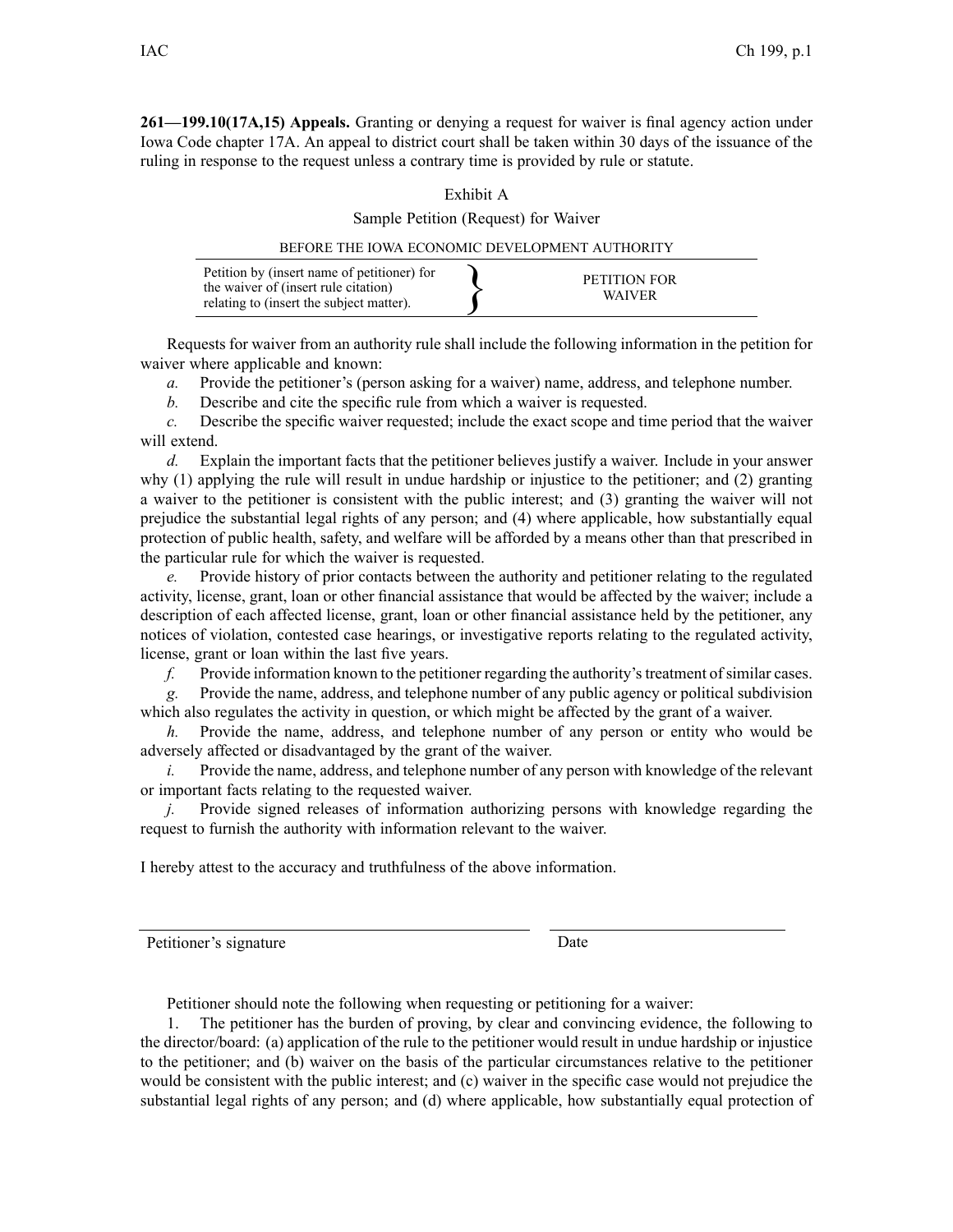**261—199.10(17A,15) Appeals.** Granting or denying <sup>a</sup> reques<sup>t</sup> for waiver is final agency action under Iowa Code chapter [17A](https://www.legis.iowa.gov/docs/ico/chapter/17A.pdf). An appeal to district court shall be taken within 30 days of the issuance of the ruling in response to the reques<sup>t</sup> unless <sup>a</sup> contrary time is provided by rule or statute.

## Exhibit A

Sample Petition (Request) for Waiver

| BEFORE THE JOWA ECONOMIC DEVELOPMENT AUTHORITY                                                                                  |  |                               |
|---------------------------------------------------------------------------------------------------------------------------------|--|-------------------------------|
| Petition by (insert name of petitioner) for<br>the waiver of (insert rule citation)<br>relating to (insert the subject matter). |  | PETITION FOR<br><b>WAIVER</b> |

Requests for waiver from an authority rule shall include the following information in the petition for waiver where applicable and known:

*a.* Provide the petitioner's (person asking for <sup>a</sup> waiver) name, address, and telephone number.

*b.* Describe and cite the specific rule from which <sup>a</sup> waiver is requested.

*c.* Describe the specific waiver requested; include the exact scope and time period that the waiver will extend.

*d.* Explain the important facts that the petitioner believes justify <sup>a</sup> waiver. Include in your answer why (1) applying the rule will result in undue hardship or injustice to the petitioner; and (2) granting <sup>a</sup> waiver to the petitioner is consistent with the public interest; and (3) granting the waiver will not prejudice the substantial legal rights of any person; and (4) where applicable, how substantially equal protection of public health, safety, and welfare will be afforded by <sup>a</sup> means other than that prescribed in the particular rule for which the waiver is requested.

*e.* Provide history of prior contacts between the authority and petitioner relating to the regulated activity, license, grant, loan or other financial assistance that would be affected by the waiver; include <sup>a</sup> description of each affected license, grant, loan or other financial assistance held by the petitioner, any notices of violation, contested case hearings, or investigative reports relating to the regulated activity, license, gran<sup>t</sup> or loan within the last five years.

*f.* Provide information known to the petitioner regarding the authority's treatment of similar cases.

*g.* Provide the name, address, and telephone number of any public agency or political subdivision which also regulates the activity in question, or which might be affected by the gran<sup>t</sup> of <sup>a</sup> waiver.

*h.* Provide the name, address, and telephone number of any person or entity who would be adversely affected or disadvantaged by the gran<sup>t</sup> of the waiver.

*i.* Provide the name, address, and telephone number of any person with knowledge of the relevant or important facts relating to the requested waiver.

*j.* Provide signed releases of information authorizing persons with knowledge regarding the reques<sup>t</sup> to furnish the authority with information relevant to the waiver.

I hereby attest to the accuracy and truthfulness of the above information.

Petitioner's signature Date

Petitioner should note the following when requesting or petitioning for <sup>a</sup> waiver:

1. The petitioner has the burden of proving, by clear and convincing evidence, the following to the director/board: (a) application of the rule to the petitioner would result in undue hardship or injustice to the petitioner; and (b) waiver on the basis of the particular circumstances relative to the petitioner would be consistent with the public interest; and (c) waiver in the specific case would not prejudice the substantial legal rights of any person; and (d) where applicable, how substantially equal protection of